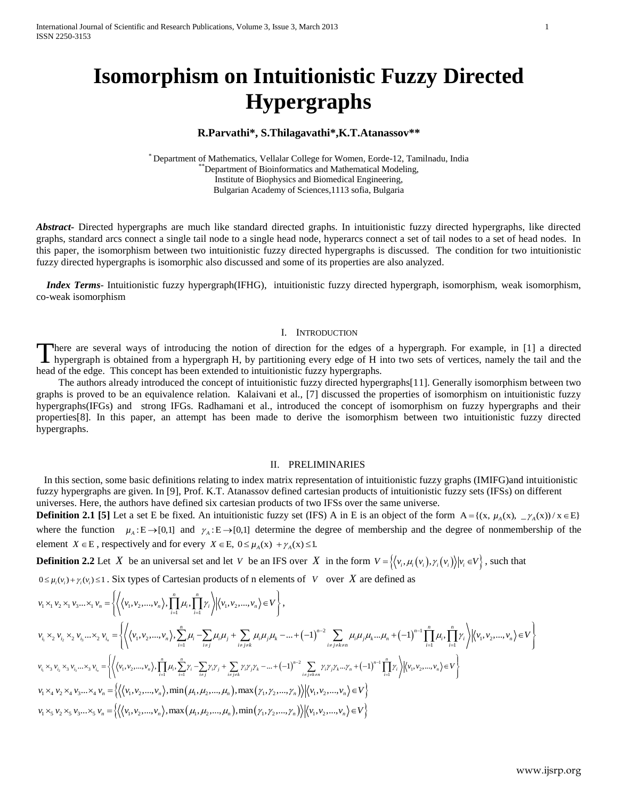# **Isomorphism on Intuitionistic Fuzzy Directed Hypergraphs**

# **R.Parvathi\*, S.Thilagavathi\*,K.T.Atanassov\*\***

\* Department of Mathematics, Vellalar College for Women, Eorde-12, Tamilnadu, India \*Department of Bioinformatics and Mathematical Modeling, Institute of Biophysics and Biomedical Engineering, Bulgarian Academy of Sciences,1113 sofia, Bulgaria

*Abstract***-** Directed hypergraphs are much like standard directed graphs. In intuitionistic fuzzy directed hypergraphs, like directed graphs, standard arcs connect a single tail node to a single head node, hyperarcs connect a set of tail nodes to a set of head nodes. In this paper, the isomorphism between two intuitionistic fuzzy directed hypergraphs is discussed. The condition for two intuitionistic fuzzy directed hypergraphs is isomorphic also discussed and some of its properties are also analyzed.

 *Index Terms*- Intuitionistic fuzzy hypergraph(IFHG), intuitionistic fuzzy directed hypergraph, isomorphism, weak isomorphism, co-weak isomorphism

## I. INTRODUCTION

here are several ways of introducing the notion of direction for the edges of a hypergraph. For example, in [1] a directed There are several ways of introducing the notion of direction for the edges of a hypergraph. For example, in [1] a directed hypergraph is obtained from a hypergraph H, by partitioning every edge of H into two sets of verti head of the edge. This concept has been extended to intuitionistic fuzzy hypergraphs.

The authors already introduced the concept of intuitionistic fuzzy directed hypergraphs[11]. Generally isomorphism between two graphs is proved to be an equivalence relation. Kalaivani et al., [7] discussed the properties of isomorphism on intuitionistic fuzzy hypergraphs(IFGs) and strong IFGs. Radhamani et al., introduced the concept of isomorphism on fuzzy hypergraphs and their properties[8]. In this paper, an attempt has been made to derive the isomorphism between two intuitionistic fuzzy directed hypergraphs.

## II. PRELIMINARIES

 In this section, some basic definitions relating to index matrix representation of intuitionistic fuzzy graphs (IMIFG)and intuitionistic fuzzy hypergraphs are given. In [9], Prof. K.T. Atanassov defined cartesian products of intuitionistic fuzzy sets (IFSs) on different universes. Here, the authors have defined six cartesian products of two IFSs over the same universe.

**Definition 2.1** [5] Let a set E be fixed. An intuitionistic fuzzy set (IFS) A in E is an object of the form  $A = \{(x, \mu_A(x), \mu_A(x)) | x \in E\}$ where the function  $\mu_A : E \to [0,1]$  and  $\gamma_A : E \to [0,1]$  determine the degree of membership and the degree of nonmembership of the element *X*  $\in$  E, respectively and for every *X*  $\in$  E,  $0 \le \mu_A(x) + \gamma_A(x) \le 1$ .

**Definition 2.2** Let X be an universal set and let V be an IFS over X in the form  $V = \{ (v_i, \mu_i(v_i), \gamma_i(v_i)) | v_i \in V \}$ , such that

**Definition 2.2 Let X be an universal set and let V be an IFS over X in the form** 
$$
V = \{(v_i, H_i(v_i), Y_i(v_i)) | v_i \in V\}
$$
, such that  
\n $0 \le \mu_i(v_i) + \gamma_i(v_i) \le 1$ . Six types of Cartesian products of n elements of V over X are defined as  
\n $v_1 \times_1 v_2 \times_1 v_3 \dots \times_1 v_n = \left\{ \left\langle (v_1, v_2, \dots, v_n), \prod_{i=1}^n \mu_i, \prod_{i=1}^n \gamma_i \right\rangle | (v_1, v_2, \dots, v_n) \in V \right\},$   
\n $v_{i_1} \times_2 v_{i_2} \times_2 v_{i_3} \dots \times_2 v_{i_n} = \left\{ \left\langle (v_1, v_2, \dots, v_n), \sum_{i=1}^n \mu_i - \sum_{i \neq j} \mu_i \mu_j + \sum_{i \neq j \neq k} \mu_i \mu_j \mu_k - \dots + (-1)^{n-2} \sum_{i \neq j \neq k \neq n} \mu_i \mu_j \mu_k \dots \mu_n + (-1)^{n-1} \prod_{i=1}^n \mu_i, \prod_{i=1}^n \gamma_i \right\rangle | (v_1, v_2, \dots, v_n) \in V \right\}$   
\n $v_i \times_3 v_i \times_3 v_i \dots \times_3 v_i = \left\{ \left\langle (v_1, v_2, \dots, v_n), \prod_{i=1}^n \mu_i, \sum_{i=1}^n \gamma_i - \sum_{i \neq j} \gamma_i \gamma_j + \sum_{i \neq j \neq k} \gamma_i \gamma_j \gamma_k \dots + (-1)^{n-2} \sum_{i \neq j \neq k \neq n} \gamma_i \gamma_j \gamma_k \dots \gamma_n + (-1)^{n-1} \prod_{i=1}^n \gamma_i \right\rangle | (v_1, v_2, \dots, v_n) \in V \right\}$   
\n $v_1 \times_4 v_2 \times_4 v_3 \dots \times_4 v_n = \left\{ \left\langle (v_1, v_2, \dots, v_n), \min_{i \neq j} (\mu_i, \mu_2, \dots, \mu_n), \max_{i \neq j, j \neq k} (\gamma_i, \gamma_2, \dots, \gamma_n) \right\rangle | (v_1, v_2$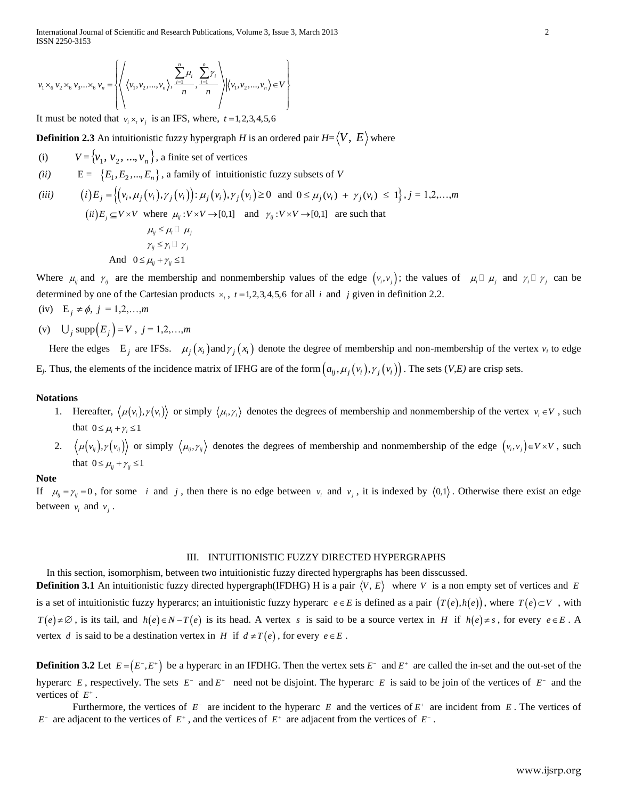International Journal of Scientific and Research Publications, Volume 3, Issue 3, March 2013 2 ISSN 2250-3153

ISSN 2250-3153  
\n
$$
v_1 \times_6 v_2 \times_6 v_3 ... \times_6 v_n = \left\{ \left\langle \left\langle v_1, v_2, ..., v_n \right\rangle, \frac{\sum_{i=1}^n \mu_i}{n}, \frac{\sum_{i=1}^n \gamma_i}{n} \right\rangle \middle| \left\langle v_1, v_2, ..., v_n \right\rangle \in V \right\}
$$

It must be noted that  $v_i \times v_j$  is an IFS, where,  $t = 1, 2, 3, 4, 5, 6$ 

**Definition 2.3** An intuitionistic fuzzy hypergraph *H* is an ordered pair  $H\text{=}\langle V,\,E\rangle$  where

- (i)  $V = \{v_1, v_2, ..., v_n\}$ , a finite set of vertices
- 

(ii) 
$$
E = \{E_1, E_2, \ldots, E_n\}
$$
, a family of intuitionistic fuzzy subsets of  $V$ 

\n(iii)  $(i) E_j = \left\{ (v_i, \mu_j(v_i), \gamma_j(v_i)) : \mu_j(v_i), \gamma_j(v_i) \ge 0 \text{ and } 0 \le \mu_j(v_i) + \gamma_j(v_i) \le 1 \right\}, j = 1, 2, \ldots, m$ 

\n(ii)  $E_j \subseteq V \times V$  where  $\mu_j : V \times V \to [0, 1]$  and  $\gamma_j : V \times V \to [0, 1]$  are such that  $\mu_{ij} \le \mu_i \square \mu_j$ 

\n $\gamma \le \gamma \square \gamma$ 

$$
\gamma_{ij} \leq \gamma_i \sqcup \gamma_j
$$
  
And 
$$
0 \leq \mu_{ij} + \gamma_{ij} \leq 1
$$

Where  $\mu_{ij}$  and  $\gamma_{ij}$  are the membership and nonmembership values of the edge  $(v_i, v_j)$ ; the values of  $\mu_i \Box \mu_j$  and  $\gamma_i \Box \gamma_j$  can be determined by one of the Cartesian products  $\times_i$ ,  $t = 1,2,3,4,5,6$  for all i and j given in definition 2.2.

- (iv)  $E_j \neq \phi, j = 1,2,...,m$
- (v)  $\bigcup_j \text{supp}(E_j) = V, j = 1, 2, ..., m$

Here the edges  $E_j$  are IFSs.  $\mu_j(x_i)$  and  $\gamma_j(x_i)$  denote the degree of membership and non-membership of the vertex  $v_i$  to edge  $E_j$ . Thus, the elements of the incidence matrix of IFHG are of the form  $(a_{ij}, \mu_j(v_i), \gamma_j(v_i))$ . The sets  $(V, E)$  are crisp sets.

# **Notations**

- 1. Hereafter,  $\langle \mu(v_i), \gamma(v_i) \rangle$  or simply  $\langle \mu_i, \gamma_i \rangle$  denotes the degrees of membership and nonmembership of the vertex  $v_i \in V$ , such that  $0 \leq \mu_i + \gamma_i \leq 1$
- 2.  $\langle \mu(v_{ij}), \gamma(v_{ij}) \rangle$  or simply  $\langle \mu_{ij}, \gamma_{ij} \rangle$  denotes the degrees of membership and nonmembership of the edge  $(v_i, v_j) \in V \times V$ , such that  $0 \leq \mu_{ij} + \gamma_{ij} \leq 1$

### **Note**

If  $\mu_{ij} = \gamma_{ij} = 0$ , for some *i* and *j*, then there is no edge between  $\nu_i$  and  $\nu_j$ , it is indexed by  $\langle 0,1 \rangle$ . Otherwise there exist an edge between  $v_i$  and  $v_j$ .

### III. INTUITIONISTIC FUZZY DIRECTED HYPERGRAPHS

In this section, isomorphism, between two intuitionistic fuzzy directed hypergraphs has been disscussed.

**Definition 3.1** An intuitionistic fuzzy directed hypergraph(IFDHG) H is a pair  $\langle V, E \rangle$  where V is a non empty set of vertices and E is a set of intuitionistic fuzzy hyperarcs; an intuitionistic fuzzy hyperarc  $e \in E$  is defined as a pair  $(T(e), h(e))$ , where  $T(e) \subset V$ , with  $T(e) \neq \emptyset$ , is its tail, and  $h(e) \in N - T(e)$  is its head. A vertex s is said to be a source vertex in *H* if  $h(e) \neq s$ , for every  $e \in E$ . A vertex d is said to be a destination vertex in H if  $d \neq T(e)$ , for every  $e \in E$ .

**Definition 3.2** Let  $E = (E^-, E^+)$  be a hyperarc in an IFDHG. Then the vertex sets  $E^-$  and  $E^+$  are called the in-set and the out-set of the hyperarc  $E$ , respectively. The sets  $E^-$  and  $E^+$  need not be disjoint. The hyperarc  $E$  is said to be join of the vertices of  $E^-$  and the vertices of  $E^+$ .

Furthermore, the vertices of  $E^-$  are incident to the hyperarc  $E$  and the vertices of  $E^+$  are incident from  $E$ . The vertices of  $E^-$  are adjacent to the vertices of  $E^+$ , and the vertices of  $E^+$  are adjacent from the vertices of  $E^-$ .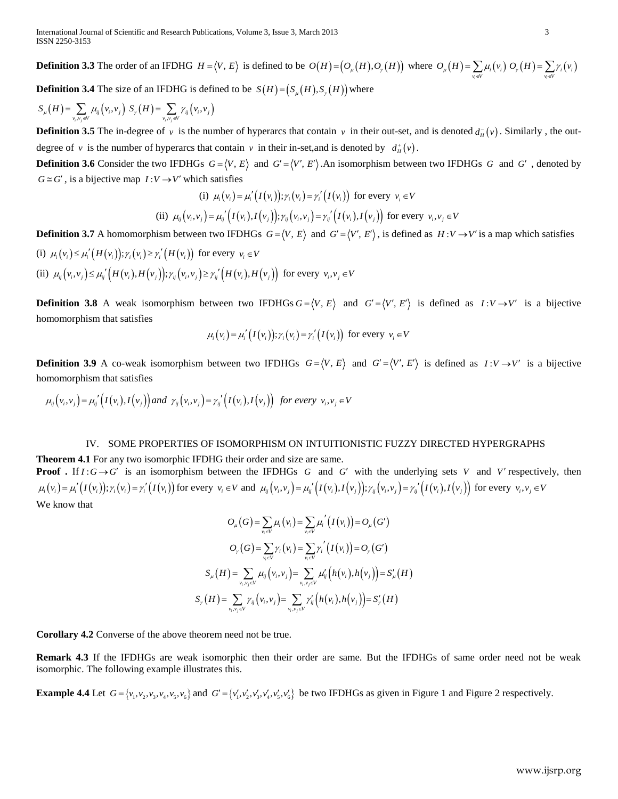**Definition 3.3** The order of an IFDHG  $H = \langle V, E \rangle$  is defined to be  $O(H) = \big(O_\mu(H), O_\gamma(H)\big)$  where  $O_\mu(H) = \sum \mu_i(v_i)$  $O_{\mu}(H) = \sum_{v_i \in V} \mu_i(v_i) O_{\gamma}(H) = \sum_{v_i \in V} \gamma_i(v_i)$ **Definition 3.4** The size of an IFDHG is defined to be  $S(H) = (S_{\mu}(H), S_{\nu}(H))$  where

$$
S_{\mu}(H) = \sum_{v_i, v_j \in V} \mu_{ij}(v_i, v_j) S_{\gamma}(H) = \sum_{v_i, v_j \in V} \gamma_{ij}(v_i, v_j)
$$

**Definition 3.5** The in-degree of v is the number of hyperarcs that contain v in their out-set, and is denoted  $d_{\mu}^-(v)$ . Similarly, the outdegree of v is the number of hyperarcs that contain v in their in-set, and is denoted by  $d^{\dagger}_H(v)$ .

**Definition 3.6** Consider the two IFDHGs  $G = \langle V, E \rangle$  and  $G' = \langle V', E' \rangle$ . An isomorphism between two IFDHGs G and G', denoted by  $G \cong G'$ , is a bijective map  $I: V \to V'$  which satisfies

(i) 
$$
\mu_i(v_i) = \mu'_i(I(v_i)); \gamma_i(v_i) = \gamma'_i(I(v_i))
$$
 for every  $v_i \in V$   
\n(ii)  $\mu_{ij}(v_i, v_j) = \mu'_{ij}(I(v_i), I(v_j)); \gamma_{ij}(v_i, v_j) = \gamma'_{ij}(I(v_i), I(v_j))$  for every  $v_i, v_j \in V$ 

**Definition 3.7** A homomorphism between two IFDHGs  $G = \langle V, E \rangle$  and  $G' = \langle V', E' \rangle$ , is defined as  $H: V \to V'$  is a map which satisfies (i)  $\mu_i(v_i) \leq \mu'_i(H(v_i))$ ;  $\gamma_i(v_i) \geq \gamma'_i(H(v_i))$  for every  $v_i \in V$ 

(i)  $\mu_i(v_i) \leq \mu'_i(H(v_i))$ ;  $\gamma_i(v_i) \geq \gamma'_i(H(v_i))$  for every  $v_i \in V$ <br>(ii)  $\mu_{ij}(v_i, v_j) \leq \mu_{ij}'(H(v_i), H(v_j))$ ;  $\gamma_{ij}(v_i, v_j) \geq \gamma_{ij}'(H(v_i), H(v_j))$  for every  $v_i, v_j \in V$ 

**Definition 3.8** A weak isomorphism between two IFDHGs  $G = \langle V, E \rangle$  and  $G' = \langle V', E' \rangle$  is defined as  $I: V \rightarrow V'$  is a bijective homomorphism that satisfies

$$
\mu_i(v_i) = \mu'_i(I(v_i)); \gamma_i(v_i) = \gamma'_i(I(v_i))
$$
 for every  $v_i \in V$ 

**Definition 3.9** A co-weak isomorphism between two IFDHGs  $G = \langle V, E \rangle$  and  $G' = \langle V', E' \rangle$  is defined as  $I: V \rightarrow V'$  is a bijective homomorphism that satisfies

 $\mu_{ij}(v_i, v_j) = \mu_{ij} \cdot (I(v_i), I(v_j))$  and  $\gamma_{ij}(v_i, v_j) = \gamma_{ij} \cdot (I(v_i), I(v_j))$  for every  $v_i, v_j \in V$ 

### IV. SOME PROPERTIES OF ISOMORPHISM ON INTUITIONISTIC FUZZY DIRECTED HYPERGRAPHS

**Theorem 4.1** For any two isomorphic IFDHG their order and size are same. **Proof**. If  $I: G \rightarrow G'$  is an isomorphism between the IFDHGs G and G' with the underlying sets V and V' respectively, then **Proof** . If  $I: G \to G'$  is an isomorphism between the IFDHGs G and G' with the underlying sets V and V' respective  $\mu_i(v_i) = \mu'_i(I(v_i)); \gamma_i(v_i) = \gamma'_i(I(v_i))$  for every  $v_i \in V$  and  $\mu_{ij}(v_i, v_j) = \mu'_{ij}(I(v_i), I(v_j)); \gamma_{ij}(v_i, v_j) = \gamma'_{ij}(I(v_i), I(v_j$ We know that

$$
O_{\mu}(G) = \sum_{v_i \in V} \mu_i(v_i) = \sum_{v_i \in V} \mu_i'\Big(I(v_i)\Big) = O_{\mu}(G')
$$
  

$$
O_{\gamma}(G) = \sum_{v_i \in V} \gamma_i(v_i) = \sum_{v_i \in V} \gamma_i'\Big(I(v_i)\Big) = O_{\gamma}(G')
$$
  

$$
S_{\mu}(H) = \sum_{v_i, v_j \in V} \mu_{ij}(v_i, v_j) = \sum_{v_i, v_j \in V} \mu_{ij}'\Big(h(v_i), h(v_j)\Big) = S_{\mu}'(H)
$$
  

$$
S_{\gamma}(H) = \sum_{v_i, v_j \in V} \gamma_{ij}(v_i, v_j) = \sum_{v_i, v_j \in V} \gamma_{ij}'\Big(h(v_i), h(v_j)\Big) = S_{\gamma}'(H)
$$

**Corollary 4.2** Converse of the above theorem need not be true.

**Remark 4.3** If the IFDHGs are weak isomorphic then their order are same. But the IFDHGs of same order need not be weak isomorphic. The following example illustrates this.

**Example 4.4** Let  $G = \{v_1, v_2, v_3, v_4, v_5, v_6\}$  and  $G' = \{v_1', v_2', v_3', v_4', v_5', v_6'\}$  be two IFDHGs as given in Figure 1 and Figure 2 respectively.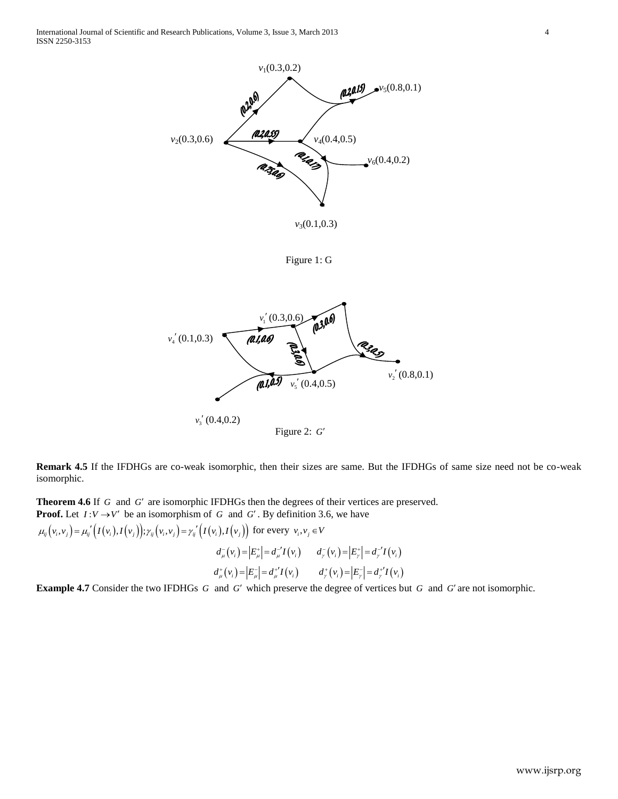

Figure 1: G



**Remark 4.5** If the IFDHGs are co-weak isomorphic, then their sizes are same. But the IFDHGs of same size need not be co-weak isomorphic.

**Theorem 4.6** If G and G' are isomorphic IFDHGs then the degrees of their vertices are preserved. **Proof.** Let  $I: V \rightarrow V'$  be an isomorphism of G and G'. By definition 3.6, we have **Proof.** Let  $I: V \to V'$  be an isomorphism of G and G'. By definition 3<br>  $\mu_{ij}(v_i, v_j) = \mu_{ij}^{\prime\prime}(I(v_i), I(v_j))$ ;  $\gamma_{ij}(v_i, v_j) = \gamma_{ij}^{\prime\prime}(I(v_i), I(v_j))$  for every  $v_i, v_j \in V$ 

*d<sub><i>u*</sub></sub>(*v<sub>i</sub>*) =  $|E_{\mu}^{+}| = d_{\mu}^{-1}I(v_{i})$   $d_{\nu}^{-}(v_{i}) = |E_{\nu}^{+}| = d_{\nu}^{-1}I(v_{i})$ <br>  $d_{\mu}^{+}(v_{i}) = |E_{\mu}^{-}| = d_{\mu}^{+1}I(v_{i})$   $d_{\nu}^{+}(v_{i}) = |E_{\nu}^{-}| = d_{\nu}^{+1}I(v_{i})$ 

**Example 4.7** Consider the two IFDHGs G and G' which preserve the degree of vertices but G and G' are not isomorphic.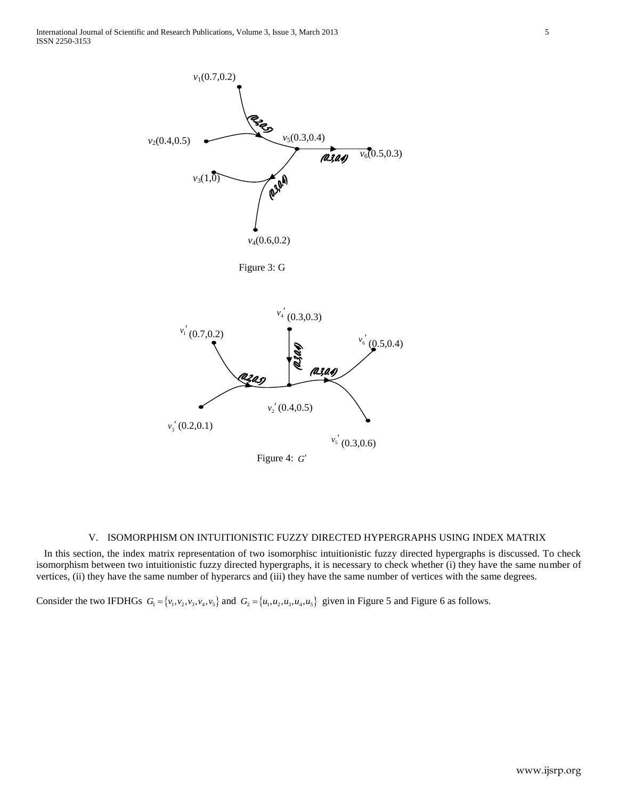

## V. ISOMORPHISM ON INTUITIONISTIC FUZZY DIRECTED HYPERGRAPHS USING INDEX MATRIX

 In this section, the index matrix representation of two isomorphisc intuitionistic fuzzy directed hypergraphs is discussed. To check isomorphism between two intuitionistic fuzzy directed hypergraphs, it is necessary to check whether (i) they have the same number of vertices, (ii) they have the same number of hyperarcs and (iii) they have the same number of vertices with the same degrees.

Consider the two IFDHGs  $G_1 = \{v_1, v_2, v_3, v_4, v_5\}$  and  $G_2 = \{u_1, u_2, u_3, u_4, u_5\}$  given in Figure 5 and Figure 6 as follows.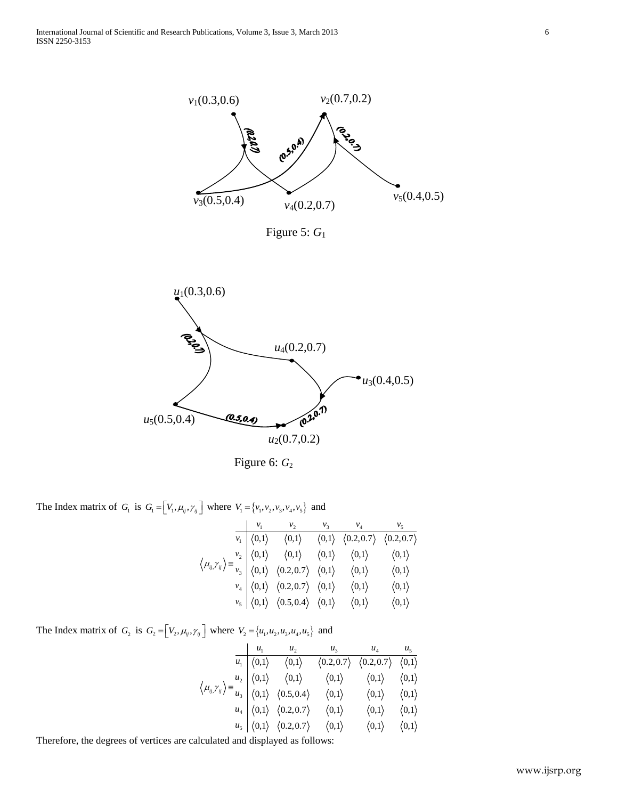



Figure 6:  $G_2$ 

The Index matrix of  $G_1$  is  $G_1 = \begin{bmatrix} V_1, \mu_{ij}, \gamma_{ij} \end{bmatrix}$  where  $V_1 = \begin{bmatrix} v_1, v_2, v_3, v_4, v_5 \end{bmatrix}$  and<br> $\begin{bmatrix} v_1 & v_2 & v_3 & v_4 & v_5 \end{bmatrix}$ 

|                                                                                                                                                                                                                                                                                                                                                                                                                                                                                                                                 | $v_1$ | $v_2$                                                                                                                                             | $v_3$ $v_4$ |  |
|---------------------------------------------------------------------------------------------------------------------------------------------------------------------------------------------------------------------------------------------------------------------------------------------------------------------------------------------------------------------------------------------------------------------------------------------------------------------------------------------------------------------------------|-------|---------------------------------------------------------------------------------------------------------------------------------------------------|-------------|--|
| $\left\langle \mu_{ij} \gamma_{ij} \right\rangle = \frac{v_2}{v_3} \begin{pmatrix} \langle 0,1 \rangle & \langle 0,1 \rangle & \langle 0,1 \rangle & \langle 0,1 \rangle & \langle 0,1 \rangle \ \langle 0,1 \rangle & \langle 0,2,0.7 \rangle & \langle 0,1 \rangle & \langle 0,1 \rangle & \langle 0,1 \rangle \ v_4 & \langle 0,1 \rangle & \langle 0.2,0.7 \rangle & \langle 0,1 \rangle & \langle 0,1 \rangle & \langle 0,1 \rangle \ v_5 & \langle 0,1 \rangle & \langle 0.5,0.4 \rangle & \langle 0,1 \rangle & \langle$ |       | $v_1 \big  \langle 0,1 \rangle \quad \langle 0,1 \rangle \quad \langle 0,1 \rangle \quad \langle 0.2, 0.7 \rangle \quad \langle 0.2, 0.7 \rangle$ |             |  |
|                                                                                                                                                                                                                                                                                                                                                                                                                                                                                                                                 |       |                                                                                                                                                   |             |  |
|                                                                                                                                                                                                                                                                                                                                                                                                                                                                                                                                 |       |                                                                                                                                                   |             |  |
|                                                                                                                                                                                                                                                                                                                                                                                                                                                                                                                                 |       |                                                                                                                                                   |             |  |
|                                                                                                                                                                                                                                                                                                                                                                                                                                                                                                                                 |       |                                                                                                                                                   |             |  |

The Index matrix of  $G_2$  is  $G_2 = \begin{bmatrix} V_2, \mu_{ij}, \gamma_{ij} \end{bmatrix}$  where  $V_2 = \{u_1, u_2, u_3, u_4, u_5\}$  and<br> $u_1 = \begin{bmatrix} u_1 & u_2 & u_3 & u_4 & u_5 \end{bmatrix}$ 

|                                                                                                                                                                                               | $u_1$                                     |                                                               |                       | $u_3$ $u_4$ $u_5$                                                 |                       |
|-----------------------------------------------------------------------------------------------------------------------------------------------------------------------------------------------|-------------------------------------------|---------------------------------------------------------------|-----------------------|-------------------------------------------------------------------|-----------------------|
| $\left\langle \mu_{ij}, \gamma_{ij} \right\rangle = \frac{u_2}{u_3} \begin{vmatrix} \langle 0,1 \rangle & \langle 0,1 \rangle \\ \langle 0,1 \rangle & \langle 0.5,0.4 \rangle \end{vmatrix}$ | $\overline{u_1} \mid \langle 0,1 \rangle$ | $\langle 0,1 \rangle$                                         |                       | $(0.2, 0.7)$ $(0.2, 0.7)$ $(0,1)$                                 |                       |
|                                                                                                                                                                                               |                                           |                                                               |                       | $\langle 0,1 \rangle$ $\langle 0,1 \rangle$ $\langle 0,1 \rangle$ |                       |
|                                                                                                                                                                                               |                                           |                                                               | $\langle 0,1 \rangle$ | $\langle 0,1 \rangle \qquad \langle 0,1 \rangle$                  |                       |
|                                                                                                                                                                                               |                                           | $u_4 \mid \langle 0,1 \rangle \quad \langle 0.2, 0.7 \rangle$ | $\langle 0,1 \rangle$ | $\langle 0,1\rangle$                                              | $\langle 0,1 \rangle$ |
|                                                                                                                                                                                               |                                           | $u_5 \mid \langle 0,1 \rangle \quad \langle 0.2, 0.7 \rangle$ | $\langle 0,1 \rangle$ | $\langle 0,1 \rangle$ $\langle 0,1 \rangle$                       |                       |

Therefore, the degrees of vertices are calculated and displayed as follows: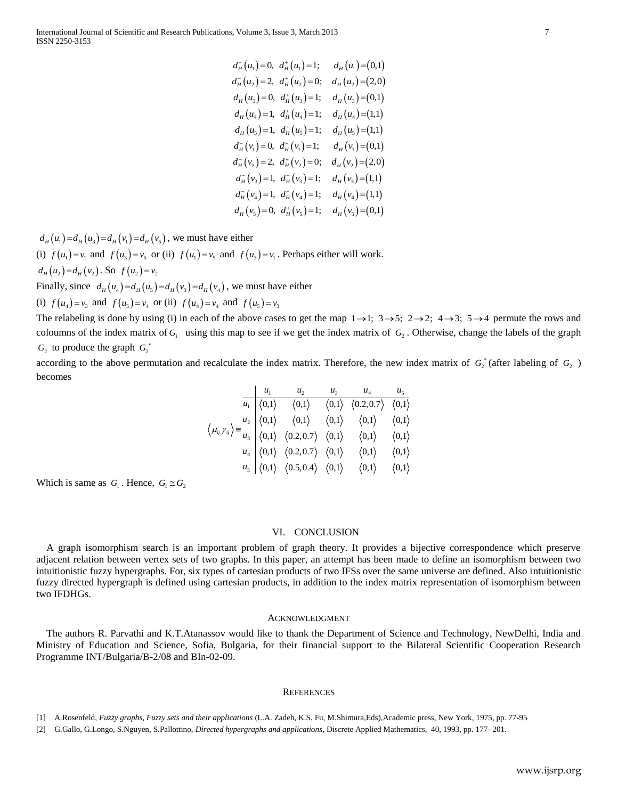|                   | $d_{H}^{-}(u_{1})=0$ , $d_{H}^{+}(u_{1})=1$ ; $d_{H}(u_{1})=(0,1)$                                                                                                                                                                                                                                         |  |                                                                                                                                                                                   |
|-------------------|------------------------------------------------------------------------------------------------------------------------------------------------------------------------------------------------------------------------------------------------------------------------------------------------------------|--|-----------------------------------------------------------------------------------------------------------------------------------------------------------------------------------|
|                   | $d_{H}^{-}(u_{2})=2, d_{H}^{+}(u_{2})=0; d_{H}(u_{2})=(2,0)$                                                                                                                                                                                                                                               |  |                                                                                                                                                                                   |
|                   | $dH-(u3) = 0$ , $dH+(u3) = 1$ ; $dH(u3) = (0,1)$                                                                                                                                                                                                                                                           |  |                                                                                                                                                                                   |
|                   | $d_{H}^{-}(u_{4})=1, d_{H}^{+}(u_{4})=1; d_{H}(u_{4})=(1,1)$                                                                                                                                                                                                                                               |  |                                                                                                                                                                                   |
|                   | $d_{H}^{-}(u_{5})=1, d_{H}^{+}(u_{5})=1; d_{H}(u_{5})=(1,1)$                                                                                                                                                                                                                                               |  |                                                                                                                                                                                   |
|                   | $d_{H}^{-}(v_{1})=0, d_{H}^{+}(v_{1})=1; d_{H}(v_{1})=(0,1)$                                                                                                                                                                                                                                               |  |                                                                                                                                                                                   |
|                   | $dH-(v2) = 2$ , $dH+(v2) = 0$ ; $dH(v2) = (2,0)$                                                                                                                                                                                                                                                           |  |                                                                                                                                                                                   |
|                   | $d_H^-(v_3) = 1$ , $d_H^+(v_3) = 1$ ; $d_H(v_3) = (1,1)$                                                                                                                                                                                                                                                   |  |                                                                                                                                                                                   |
|                   | $d_{H}^{-}(v_{4})=1, d_{H}^{+}(v_{4})=1; d_{H}(v_{4})=(1,1)$                                                                                                                                                                                                                                               |  |                                                                                                                                                                                   |
|                   | $d_{H}^{-}(v_{5})=0, d_{H}^{+}(v_{5})=1; d_{H}(v_{5})=(0,1)$                                                                                                                                                                                                                                               |  |                                                                                                                                                                                   |
|                   |                                                                                                                                                                                                                                                                                                            |  |                                                                                                                                                                                   |
| either            |                                                                                                                                                                                                                                                                                                            |  |                                                                                                                                                                                   |
|                   | $f(u_3) = v_1$ . Perhaps either will work.                                                                                                                                                                                                                                                                 |  |                                                                                                                                                                                   |
|                   |                                                                                                                                                                                                                                                                                                            |  |                                                                                                                                                                                   |
|                   | we must have either                                                                                                                                                                                                                                                                                        |  |                                                                                                                                                                                   |
| id $f(u_5) = v_3$ |                                                                                                                                                                                                                                                                                                            |  |                                                                                                                                                                                   |
|                   |                                                                                                                                                                                                                                                                                                            |  | e above cases to get the map $1 \rightarrow 1$ ; $3 \rightarrow 5$ ; $2 \rightarrow 2$ ; $4 \rightarrow 3$ ; $5 \rightarrow 4$ permute the rows and                               |
|                   |                                                                                                                                                                                                                                                                                                            |  | hap to see if we get the index matrix of $G_2$ . Otherwise, change the labels of the graph                                                                                        |
|                   |                                                                                                                                                                                                                                                                                                            |  |                                                                                                                                                                                   |
|                   |                                                                                                                                                                                                                                                                                                            |  | late the index matrix. Therefore, the new index matrix of $G_2^*$ (after labeling of $G_2$ )                                                                                      |
|                   |                                                                                                                                                                                                                                                                                                            |  |                                                                                                                                                                                   |
|                   | $\begin{array}{c ccccc} & u_1 & u_2 & u_3 & u_4 & u_5 \\ \hline u_1 & \langle 0,1\rangle & \langle 0,1\rangle & \langle 0,1\rangle & \langle 0,2,0.7\rangle & \langle 0,1\rangle \end{array}$                                                                                                              |  |                                                                                                                                                                                   |
|                   |                                                                                                                                                                                                                                                                                                            |  |                                                                                                                                                                                   |
|                   | $\left\langle \right\rangle \equiv \frac{u_{2}}{u_{3}}\, \left\vert \begin{array}{ccc} \langle 0,1\rangle & \langle 0,1\rangle & \langle 0,1\rangle & \langle 0,1\rangle \ \langle 0,1\rangle & \langle 0,2,0.7\rangle & \langle 0,1\rangle & \langle 0,1\rangle & \langle 0,1\rangle \end{array} \right.$ |  |                                                                                                                                                                                   |
|                   | $u_4 \begin{pmatrix} 0.1 \end{pmatrix}$ $\langle 0.2, 0.7 \rangle$ $\langle 0.1 \rangle$ $\langle 0.1 \rangle$ $\langle 0.1 \rangle$                                                                                                                                                                       |  |                                                                                                                                                                                   |
|                   | $u_5 \vert \langle 0,1 \rangle \vert \langle 0.5, 0.4 \rangle \vert \langle 0,1 \rangle \vert \langle 0,1 \rangle \vert \langle 0,1 \rangle$                                                                                                                                                               |  |                                                                                                                                                                                   |
|                   |                                                                                                                                                                                                                                                                                                            |  |                                                                                                                                                                                   |
|                   |                                                                                                                                                                                                                                                                                                            |  |                                                                                                                                                                                   |
|                   |                                                                                                                                                                                                                                                                                                            |  |                                                                                                                                                                                   |
|                   | <b>CONCLUSION</b><br>VI.                                                                                                                                                                                                                                                                                   |  |                                                                                                                                                                                   |
|                   |                                                                                                                                                                                                                                                                                                            |  | it problem of graph theory. It provides a bijective correspondence which preserve                                                                                                 |
|                   |                                                                                                                                                                                                                                                                                                            |  | aphs. In this paper, an attempt has been made to define an isomorphism between two                                                                                                |
|                   |                                                                                                                                                                                                                                                                                                            |  | f cartesian products of two IFSs over the same universe are defined. Also intuitionistic<br>esian products, in addition to the index matrix representation of isomorphism between |
|                   |                                                                                                                                                                                                                                                                                                            |  |                                                                                                                                                                                   |
|                   |                                                                                                                                                                                                                                                                                                            |  |                                                                                                                                                                                   |
|                   | <b>ACKNOWLEDGMENT</b>                                                                                                                                                                                                                                                                                      |  |                                                                                                                                                                                   |
|                   |                                                                                                                                                                                                                                                                                                            |  | would like to thank the Department of Science and Technology, NewDelhi, India and<br>Ilgaria, for their financial support to the Bilateral Scientific Cooperation Research        |
|                   |                                                                                                                                                                                                                                                                                                            |  |                                                                                                                                                                                   |
|                   |                                                                                                                                                                                                                                                                                                            |  |                                                                                                                                                                                   |
|                   | <b>REFERENCES</b>                                                                                                                                                                                                                                                                                          |  |                                                                                                                                                                                   |
|                   |                                                                                                                                                                                                                                                                                                            |  |                                                                                                                                                                                   |
|                   |                                                                                                                                                                                                                                                                                                            |  | cations (L.A. Zadeh, K.S. Fu, M.Shimura, Eds), Academic press, New York, 1975, pp. 77-95                                                                                          |
|                   |                                                                                                                                                                                                                                                                                                            |  | <i>pergraphs and applications, Discrete Applied Mathematics, 40, 1993, pp. 177-201.</i>                                                                                           |
|                   |                                                                                                                                                                                                                                                                                                            |  |                                                                                                                                                                                   |
|                   |                                                                                                                                                                                                                                                                                                            |  | www.ijsrp.org                                                                                                                                                                     |

 $d_{H}(u_1) = d_{H}(u_3) = d_{H}(v_1) = d_{H}(v_5)$ , we must have either

(i)  $f(u_1) = v_1$  and  $f(u_3) = v_5$  or (ii)  $f(u_1) = v_5$  and  $f(u_3) = v_1$ . Perhaps either will work.  $d_H(u_2) = d_H(v_2)$ . So  $f(u_2) = v_2$ 

Finally, since  $d_H(u_4) = d_H(u_5) = d_H(v_3) = d_H(v_4)$ , we must have either

(i)  $f(u_4) = v_3$  and  $f(u_5) = v_4$  or (ii)  $f(u_4) = v_4$  and  $f(u_5) = v_3$ 

The relabeling is done by using (i) in each of the above cases to get the map  $1 \rightarrow 1$ ;  $3 \rightarrow 5$ ;  $2 \rightarrow 2$ ;  $4 \rightarrow 3$ ;  $5 \rightarrow 4$  permute the rows and coloumns of the index matrix of  $G_1$  using this map to see if we get the index matrix of  $G_2$ . Otherwise, change the labels of the graph  $G_2$  to produce the graph  $G_2^*$ 

according to the above permutation and recalculate the index matrix. Therefore, the new index matrix of  $G_2^*$  (after labeling of  $G_2$ ) becomes

|                                                                                                                                                                                                                                                                                                                                                                                                                                                                                                                                 |  | $u_1$ $u_2$ $u_3$ $u_4$ $u_5$                                                                                                                |  |  |
|---------------------------------------------------------------------------------------------------------------------------------------------------------------------------------------------------------------------------------------------------------------------------------------------------------------------------------------------------------------------------------------------------------------------------------------------------------------------------------------------------------------------------------|--|----------------------------------------------------------------------------------------------------------------------------------------------|--|--|
| $\left\langle \mu_{ij} \gamma_{ij} \right\rangle = \frac{u_2}{u_3} \begin{vmatrix} \langle 0,1 \rangle & \langle 0,1 \rangle & \langle 0,1 \rangle & \langle 0,1 \rangle & \langle 0,1 \rangle \ \langle 0,1 \rangle & \langle 0,2,0.7 \rangle & \langle 0,1 \rangle & \langle 0,1 \rangle & \langle 0,1 \rangle \ u_4 & \langle 0,1 \rangle & \langle 0.2,0.7 \rangle & \langle 0,1 \rangle & \langle 0,1 \rangle & \langle 0,1 \rangle \ u_5 & \langle 0,1 \rangle & \langle 0.5,0.4 \rangle & \langle 0,1 \rangle & \langle$ |  | $u_1 \big  \langle 0,1 \rangle \quad \langle 0,1 \rangle \quad \langle 0,1 \rangle \quad \langle 0.2, 0.7 \rangle \quad \langle 0,1 \rangle$ |  |  |
|                                                                                                                                                                                                                                                                                                                                                                                                                                                                                                                                 |  |                                                                                                                                              |  |  |
|                                                                                                                                                                                                                                                                                                                                                                                                                                                                                                                                 |  |                                                                                                                                              |  |  |
|                                                                                                                                                                                                                                                                                                                                                                                                                                                                                                                                 |  |                                                                                                                                              |  |  |
|                                                                                                                                                                                                                                                                                                                                                                                                                                                                                                                                 |  |                                                                                                                                              |  |  |

Which is same as  $G_1$ . Hence,  $G_1 \cong G_2$ 

### VI. CONCLUSION

 A graph isomorphism search is an important problem of graph theory. It provides a bijective correspondence which preserve adjacent relation between vertex sets of two graphs. In this paper, an attempt has been made to define an isomorphism between two intuitionistic fuzzy hypergraphs. For, six types of cartesian products of two IFSs over the same universe are defined. Also intuitionistic fuzzy directed hypergraph is defined using cartesian products, in addition to the index matrix representation of isomorphism between two IFDHGs.

#### ACKNOWLEDGMENT

 The authors R. Parvathi and K.T.Atanassov would like to thank the Department of Science and Technology, NewDelhi, India and Ministry of Education and Science, Sofia, Bulgaria, for their financial support to the Bilateral Scientific Cooperation Research Programme INT/Bulgaria/B-2/08 and BIn-02-09.

#### **REFERENCES**

[1] A.Rosenfeld, *Fuzzy graphs, Fuzzy sets and their applications* (L.A. Zadeh, K.S. Fu, M.Shimura,Eds),Academic press, New York, 1975, pp. 77-95

[2] G.Gallo, G.Longo, S.Nguyen, S.Pallottino, *Directed hypergraphs and applications*, Discrete Applied Mathematics, 40, 1993, pp. 177- 201.